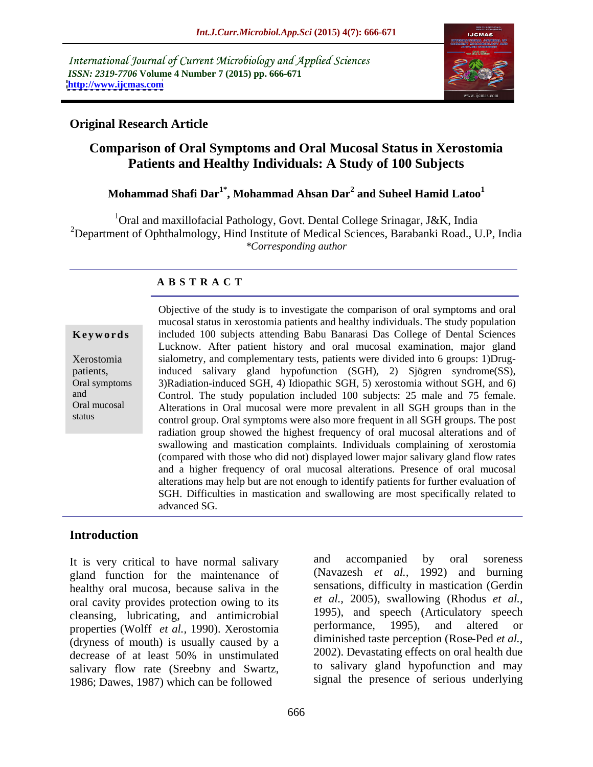International Journal of Current Microbiology and Applied Sciences *ISSN: 2319-7706* **Volume 4 Number 7 (2015) pp. 666-671 <http://www.ijcmas.com>**



# **Original Research Article**

# **Comparison of Oral Symptoms and Oral Mucosal Status in Xerostomia Patients and Healthy Individuals: A Study of 100 Subjects**

# **Mohammad Shafi Dar1\* , Mohammad Ahsan Dar<sup>2</sup> and Suheel Hamid Latoo<sup>1</sup>**

<sup>1</sup>Oral and maxillofacial Pathology, Govt. Dental College Srinagar, J&K, India <sup>2</sup>Department of Ophthalmology, Hind Institute of Medical Sciences, Barabanki Road., U.P, India *\*Corresponding author*

## **A B S T R A C T**

status

Objective of the study is to investigate the comparison of oral symptoms and oral mucosal status in xerostomia patients and healthy individuals. The study population included 100 subjects attending Babu Banarasi Das College of Dental Sciences Lucknow. After patient history and oral mucosal examination, major gland sialometry, and complementary tests, patients were divided into 6 groups: 1)Drug-Xerostomia patients, induced salivary gland hypofunction (SGH), 2) Sjögren syndrome(SS), 3)Radiation-induced SGH, 4) Idiopathic SGH, 5) xerostomia without SGH, and 6) Oral symptoms and Control. The study population included 100 subjects: 25 male and 75 female. Alterations in Oral mucosal were more prevalent in all SGH groups than in the Oral mucosal control group. Oral symptoms were also more frequent in all SGH groups. The post radiation group showed the highest frequency of oral mucosal alterations and of swallowing and mastication complaints. Individuals complaining of xerostomia (compared with those who did not) displayed lower major salivary gland flow rates and a higher frequency of oral mucosal alterations. Presence of oral mucosal alterations may help but are not enough to identify patients for further evaluation of SGH. Difficulties in mastication and swallowing are most specifically related to **Keywords** included 100 subjects attending Babu Banarasi Das College of Dental Sciences<br>
Lucknow. After patient history and oral mucosal examination, major gland<br>
Xerostomia sialometry, and complementary tests, patients we

# **Introduction**

gland function for the maintenance of healthy oral mucosa, because saliva in the oral cavity provides protection owing to its cleansing, lubricating, and antimicrobial and the speech (Articulatory speech<br>properties (Wolff et al. 1990) Xerostomia berformance, 1995), and altered or properties (Wolff *et al.,* 1990). Xerostomia (dryness of mouth) is usually caused by a decrease of at least 50% in unstimulated salivary flow rate (Sreebny and Swartz, 1986; Dawes, 1987) which can be followed

It is very critical to have normal salivary and accompanied by oral soreness and accompanied by oral soreness (Navazesh *et al.,* 1992) and burning sensations, difficulty in mastication (Gerdin *et al.,* 2005), swallowing (Rhodus *et al.,* 1995), and speech (Articulatory speech performance, 1995), and altered or diminished taste perception (Rose-Ped *et al.,* 2002). Devastating effects on oral health due to salivary gland hypofunction and may signal the presence of serious underlying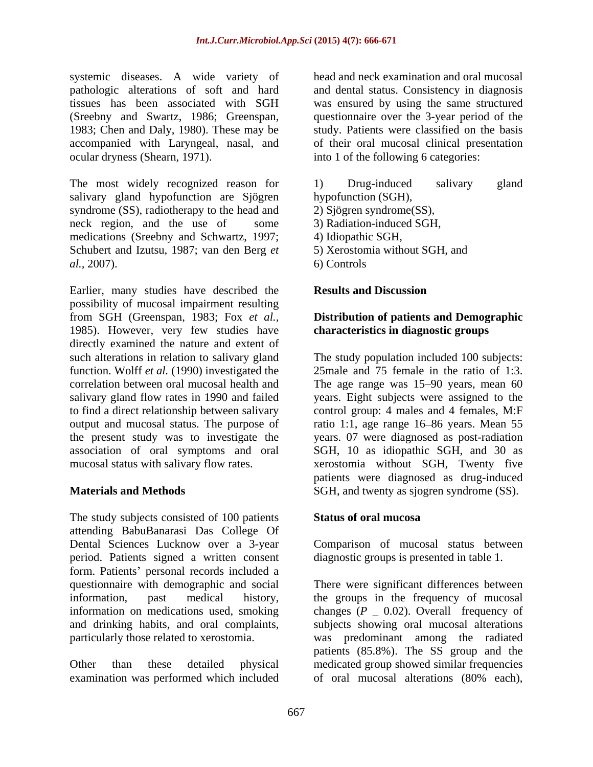systemic diseases. A wide variety of pathologic alterations of soft and hard and dental status. Consistency in diagnosis tissues has been associated with SGH was ensured by using the same structured (Sreebny and Swartz, 1986; Greenspan, questionnaire over the 3-year period of the 1983; Chen and Daly, 1980). These may be study. Patients were classified on the basis accompanied with Laryngeal, nasal, and ocular dryness (Shearn, 1971). into 1 of the following 6 categories:

The most widely recognized reason for 1) Drug-induced salivary gland salivary gland hypofunction are Sjögren syndrome (SS), radiotherapy to the head and neck region, and the use of some medications (Sreebny and Schwartz, 1997; Schubert and Izutsu, 1987; van den Berg *et al.,* 2007).

Earlier, many studies have described the **Results and Discussion** possibility of mucosal impairment resulting from SGH (Greenspan, 1983; Fox *et al.,* 1985). However, very few studies have directly examined the nature and extent of function. Wolff *et al.* (1990) investigated the

The study subjects consisted of 100 patients Status of oral mucosa attending BabuBanarasi Das College Of Dental Sciences Lucknow over a 3-year Comparison of mucosal status between period. Patients signed a written consent form. Patients' personal records included a

examination was performed which included of oral mucosal alterations (80% each),

head and neck examination and oral mucosal questionnaire over the 3-year period of the study. Patients were classified on the basis of their oral mucosal clinical presentation

1) Drug-induced salivary gland hypofunction (SGH), 2) Sjögren syndrome(SS),

- 3) Radiation-induced SGH,
- 4) Idiopathic SGH,
- 5) Xerostomia without SGH, and
- 6) Controls

### **Results and Discussion**

### **Distribution of patients and Demographic characteristics in diagnostic groups**

such alterations in relation to salivary gland The study population included 100 subjects: correlation between oral mucosal health and The age range was 15–90 years, mean 60 salivary gland flow rates in 1990 and failed years. Eight subjects were assigned to the to find a direct relationship between salivary control group: 4 males and 4 females, M:F output and mucosal status. The purpose of ratio 1:1, age range 16–86 years. Mean 55 the present study was to investigate the years. 07 were diagnosed as post-radiation association of oral symptoms and oral SGH, 10 as idiopathic SGH, and 30 as mucosal status with salivary flow rates. xerostomia without SGH, Twenty five **Materials and Methods** SGH, and twenty as sjogren syndrome (SS). 25male and 75 female in the ratio of 1:3. patients were diagnosed as drug-induced

### **Status of oral mucosa**

diagnostic groups is presented in table 1.

questionnaire with demographic and social There were significant differences between information, past medical history, the groups in the frequency of mucosal information on medications used, smoking changes  $(P_ 0.02)$ . Overall frequency of and drinking habits, and oral complaints, subjects showing oral mucosal alterations particularly those related to xerostomia. was predominant among the radiated Other than these detailed physical medicated group showed similar frequencies the groups in the frequency of mucosal changes  $(P_ 0.02)$ . Overall frequency of patients (85.8%). The SS group and the of oral mucosal alterations(80% each),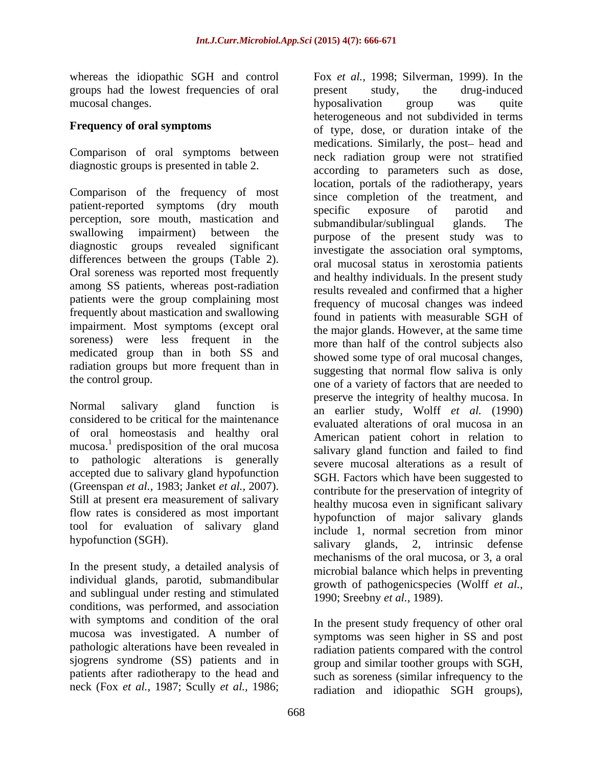whereas the idiopathic SGH and control Fox *et al.,* 1998; Silverman, 1999). In the groups had the lowest frequencies of oral mucosal changes. The contract of the probability of the property of the property of the contract of the property of the property of the contract of the property of the property of the property of the property of the proper

Comparison of oral symptoms between diagnostic groups is presented in table 2.

Comparison of the frequency of most patient-reported symptoms (ary mouth specific exposure of parotid and perception, sore mouth, mastication and submandibular/sublingual glands. The differences between the groups (Table 2). Oral soreness was reported most frequently among SS patients, whereas post-radiation patients were the group complaining most frequently about mastication and swallowing impairment. Most symptoms (except oral soreness) were less frequent in the medicated group than in both SS and radiation groups but more frequent than in

considered to be critical for the maintenance of oral homeostasis and healthy oral to pathologic alterations is generally accepted due to salivary gland hypofunction flow rates is considered as most important tool for evaluation of salivary gland

In the present study, a detailed analysis of individual glands, parotid, submandibular and sublingual under resting and stimulated conditions, was performed, and association with symptoms and condition of the oral mucosa was investigated. A number of pathologic alterations have been revealed in radiation patients compared with the control sjogrens syndrome (SS) patients and in patients after radiotherapy to the head and neck (Fox *et al.,* 1987; Scully *et al.,* 1986;

**Frequency of oral symptoms** of type, dose, or duration intake of the patient-reported symptoms (dry mouth service exposure of parotid and swallowing impairment) between the purpose of the present study was to diagnostic groups revealed significant investigate the association oral symptoms, the control group.<br>
one of a variety of factors that are needed to Normal salivary gland function is an earlier study, Wolff *et al.* (1990) mucosa.<sup>1</sup> predisposition of the oral mucosa<br>salivary gland function and failed to find predisposition of the oral mucosa<br>salivary gland function and failed to find (Greenspan *et al.*, 1983; Janket *et al.*, 2007).  $\qquad$  contribute for the preservation of integrity of Still at present era measurement of salivary  $\qquad$  healthy mucosa even in significant salivary hypofunction (SGH).<br>salivary glands, 2, intrinsic defense present study, the drug-induced hyposalivation group was quite heterogeneous and not subdivided in terms medications. Similarly, the post- head and neck radiation group were not stratified according to parameters such as dose, location, portals of the radiotherapy, years since completion of the treatment, and specific exposure of parotid and submandibular/sublingual oral mucosal status in xerostomia patients and healthy individuals. In the present study results revealed and confirmed that a higher frequency of mucosal changes was indeed found in patients with measurable SGH of the major glands. However, at the same time more than half of the control subjects also showed some type of oral mucosal changes, suggesting that normal flow saliva is only preserve the integrity of healthy mucosa. In evaluated alterations of oral mucosa in an American patient cohort in relation to severe mucosal alterations as a result of SGH. Factors which have been suggested to contribute for the preservation of integrity of healthy mucosa even in significant salivary hypofunction of major salivary glands include 1, normal secretion from minor salivary glands, 2, intrinsic defense mechanisms of the oral mucosa, or 3, a oral microbial balance which helps in preventing growth of pathogenicspecies (Wolff *et al.,* 1990; Sreebny *et al.,* 1989).

> In the present study frequency of other oral symptoms was seen higher in SS and post group and similar toother groups with SGH, such as soreness (similar infrequency to the radiation and idiopathic SGH groups),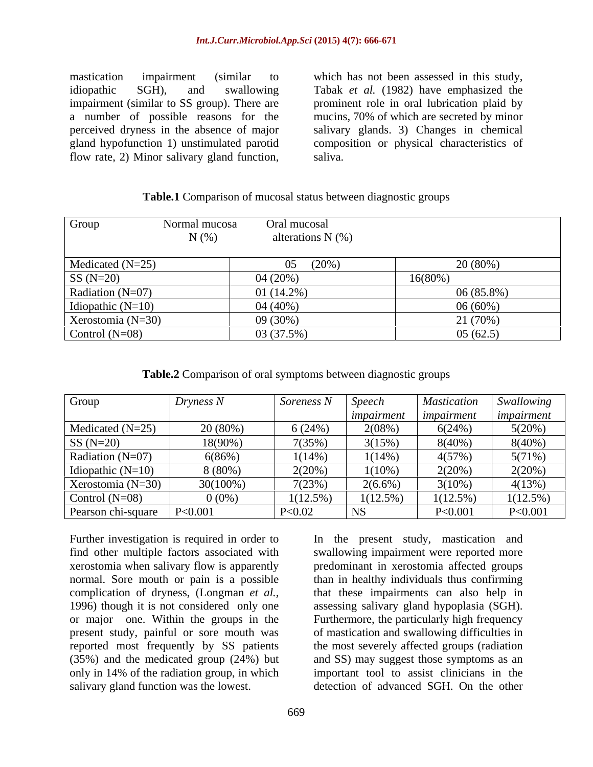mastication impairment (similar to which has not been assessed in this study, idiopathic SGH), and swallowing Tabak *et al.* (1982) have emphasized the impairment (similar to SS group). There are prominent role in oral lubrication plaid by a number of possible reasons for the mucins, 70% of which are secreted by minor perceived dryness in the absence of major salivary glands. 3)Changes in chemical gland hypofunction 1) unstimulated parotid composition or physical characteristics of mastication impairment (similar to which has not been assessed in this study,<br>idiopathic SGH), and swallowing Tabak *et al.* (1982) have emphasized the<br>impairment (similar to SS group). There are prominent role in oral lub

saliva.

### **Table.1** Comparison of mucosal status between diagnostic groups

| Group                 | Normal mucosa | Oral mucosal        |            |
|-----------------------|---------------|---------------------|------------|
|                       | $N(\%)$       | alterations $N(\%)$ |            |
| Medicated $(N=25)$    |               | $(20\%)$<br>05      | 20(80%)    |
| $SS(N=20)$            |               | 04(20%)             | 16(80%)    |
| Radiation $(N=07)$    |               | 01 $(14.2\%)$       | 06(85.8%)  |
| Idiopathic $(N=10)$   |               | $04(40\%)$          | $06(60\%)$ |
| Xerostomia ( $N=30$ ) |               | $09(30\%)$          | 21 (70%)   |
| Control $(N=08)$      |               | 03 (37.5%)          | 05(62.5)   |

| Table.2 Comparison of oral symptoms between diagnostic groups |  |  |  |
|---------------------------------------------------------------|--|--|--|
|                                                               |  |  |  |

| Group                 | Dryness N | Soreness l  | Speech            | <b>Mastication</b> | Swallowing  |
|-----------------------|-----------|-------------|-------------------|--------------------|-------------|
|                       |           |             | <i>Impairment</i> | impairment         | impairment  |
| Medicated $(N=25)$    | 20 (80%)  | 6 (24%)     | $2(08\%)$         | 6(24%)             | 5(20%)      |
| $\vert$ SS (N=20)     | 18(90%)   | 7(35%       | 3(15%)            | $8(40\%)$          | 8(40%)      |
| Radiation $(N=07)$    | 6(86%     | 1(14%       | $1(14\%)$         | 4(57%              | 5(71%)      |
| Idiopathic $(N=10)$   | $8(80\%)$ | 2(20%       | $1(10\%)$         | $2(20\%)$          | 2(20%)      |
| Xerostomia ( $N=30$ ) | 30(100%)  | 7(23%       | $2(6.6\%)$        | $3(10\%)$          | 4(13%)      |
| Control $(N=08)$      | $0(0\%)$  | $1(12.5\%)$ | (12.5%            | 1(12.5%)           | $1(12.5\%)$ |
| Pearson chi-square    | P<0.001   | P<0.02      |                   | P < 0.001          | P<0.001     |

Further investigation is required in order to In the present study, mastication and find other multiple factors associated with swallowing impairment were reported more xerostomia when salivary flow is apparently predominant in xerostomia affected groups normal. Sore mouth or pain is a possible than in healthy individuals thus confirming complication of dryness, (Longman *et al.,* that these impairments can also help in 1996) though it is not considered only one assessing salivary gland hypoplasia (SGH). or major one. Within the groups in the Furthermore, the particularly high frequency present study, painful or sore mouth was of mastication and swallowing difficulties in reported most frequently by SS patients the most severely affected groups (radiation (35%) and the medicated group (24%) but and SS) may suggest those symptoms as an only in 14% of the radiation group, in which important tool to assist clinicians in the salivary gland function was the lowest. detection of advanced SGH. On the other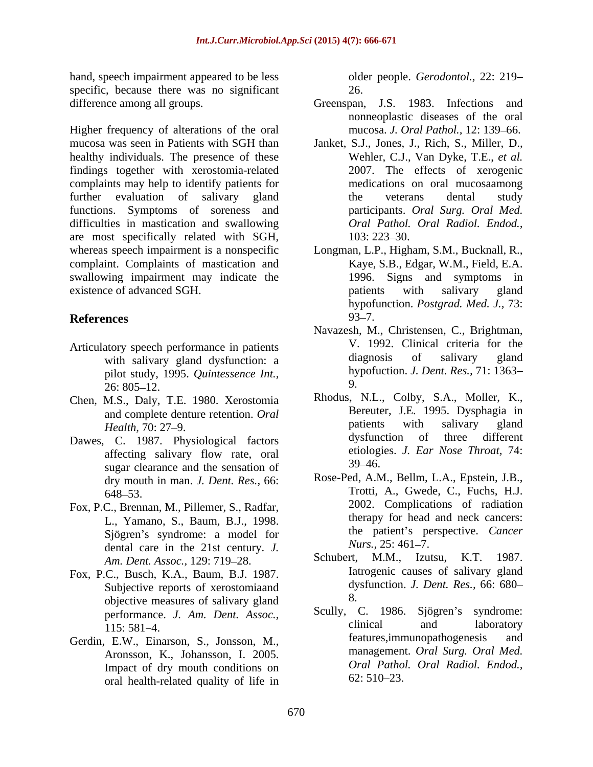hand, speech impairment appeared to be less specific, because there was no significant 26.

Higher frequency of alterations of the oral mucosa was seen in Patients with SGH than Janket, S.J., Jones, J., Rich, S., Miller, D., healthy individuals. The presence of these findings together with xerostomia-related complaints may help to identify patients for further evaluation of salivary gland the veterans dental study functions. Symptoms of soreness and difficulties in mastication and swallowing are most specifically related with SGH, whereas speech impairment is a nonspecific Longman, L.P., Higham, S.M., Bucknall, R., complaint. Complaints of mastication and swallowing impairment may indicate the existence of advanced SGH. by existence of advanced SGH.

- Articulatory speech performance in patients<br>with salivary gland dysfunction: a cliquential diagnosis of salivary gland with salivary gland dysfunction: a pilot study, 1995. *Quintessence Int.,*  $26: 805 - 12.$  9.
- Chen, M.S., Daly, T.E. 1980. Xerostomia
- sugar clearance and the sensation of 39–46. dry mouth in man. *J. Dent. Res.,* 66:
- Fox, P.C., Brennan, M., Pillemer, S., Radfar, L., Yamano, S., Baum, B.J., 1998. Sjögren's syndrome: a model for the patient's performance the syndrome: a model for the patient's performance of  $Nurs. 25: 461-7.$ dental care in the 21st century. *J. Nurs.*, 25: 461–7.<br>*Am Dant Assec, 129: 719. 28* **Schubert.** M.M., Izutsu, K.T. 1987. Am. Dent. Assoc., 129: 719-28.
- Fox, P.C., Busch, K.A., Baum, B.J. 1987. Subjective reports of xerostomiaand dy<br>objective measures of salivary aland 8. objective measures of salivary gland<br>performance  $I$  Am Dent Assoc Scully, C. 1986. Sjögren's syndrome:
- Aronsson, K., Johansson, I. 2005. Impact of dry mouth conditions on *Oral Pathol*<br>
oral booth related quality of life in 62:510–23. oral health-related quality of life in

older people. *Gerodontol.,* 22: 219 26.

- difference among all groups. Greenspan, J.S. 1983. Infections and nonneoplastic diseases of the oral mucosa. *J. Oral Pathol.*, 12: 139-66.
	- Wehler, C.J., Van Dyke, T.E., *et al.* 2007. The effects of xerogenic medications on oral mucosaamong the veterans dental study participants. *Oral Surg. Oral Med. Oral Pathol. Oral Radiol. Endod.,* 103: 223–30.
- **References** Kaye, S.B., Edgar, W.M., Field, E.A. 1996. Signs and symptoms in patients with salivary gland hypofunction. *Postgrad. Med. J.,* 73:  $93 - 7.$ 
	- Navazesh, M., Christensen, C., Brightman, V. 1992. Clinical criteria for the diagnosis of salivary gland hypofuction. *J. Dent. Res.,* 71: 1363 9.
- and complete denture retention. *Oral* Bereuter, J.E. 1995. Dysphagia in<br>
Bereuter, J.E. 1995. Dysphagia in<br>
patients with salivary gland *Health*, 70: 27–9. **Example 1** attents with salivary gland Dawes, C. 1987. Physiological factors dysfunction of three different affecting salivary flow rate, oral etiologies. J. Ear Nose Throat, 14: Rhodus, N.L., Colby, S.A., Moller, K., Bereuter, J.E. 1995. Dysphagia in patients with salivary gland dysfunction of three different etiologies. *J. Ear Nose Throat,* 74:  $39 - 46.$ 
	- 648–53. Trotti, A., Gwede, C., Fuchs, H.J. Rose-Ped, A.M., Bellm, L.A., Epstein, J.B., Trotti, A., Gwede, C., Fuchs, H.J. 2002. Complications of radiation therapy for head and neck cancers: the patient's perspective. *Cancer Nurs.,* 25: 461–7.
		- Schubert, M.M., Izutsu, K.T. 1987. Iatrogenic causes of salivary gland dysfunction. *J. Dent. Res.,* 66: 680 8.
- performance. *J. Am. Dent. Assoc.,* 115: 581–4. Gerdin, E.W., Einarson, S., Jonsson, M., features, immunopathogenesis and Scully, C. 1986. Sjögren's syndrome: clinical and laboratory features, immunopathogenesis management. *Oral Surg. Oral Med. Oral Pathol. Oral Radiol. Endod.,*  $62: 510 - 23.$